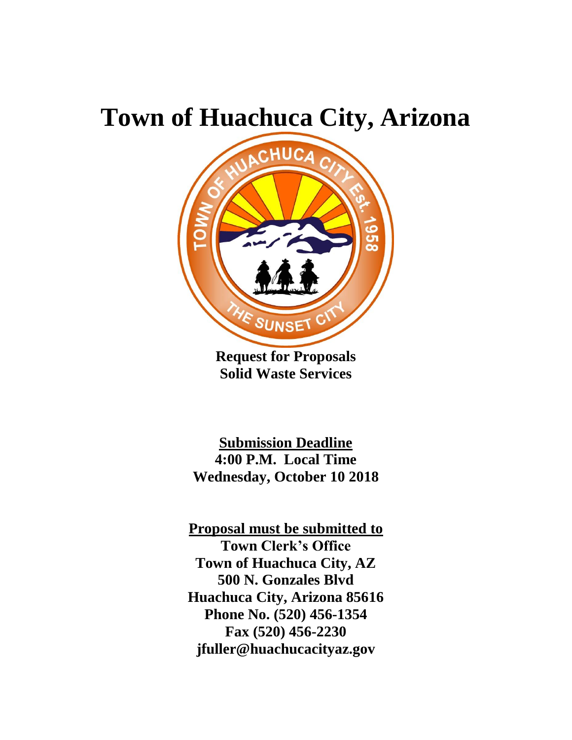# **Town of Huachuca City, Arizona**



**Request for Proposals Solid Waste Services**

**Submission Deadline 4:00 P.M. Local Time Wednesday, October 10 2018**

**Proposal must be submitted to Town Clerk's Office Town of Huachuca City, AZ 500 N. Gonzales Blvd Huachuca City, Arizona 85616 Phone No. (520) 456-1354 Fax (520) 456-2230 jfuller@huachucacityaz.gov**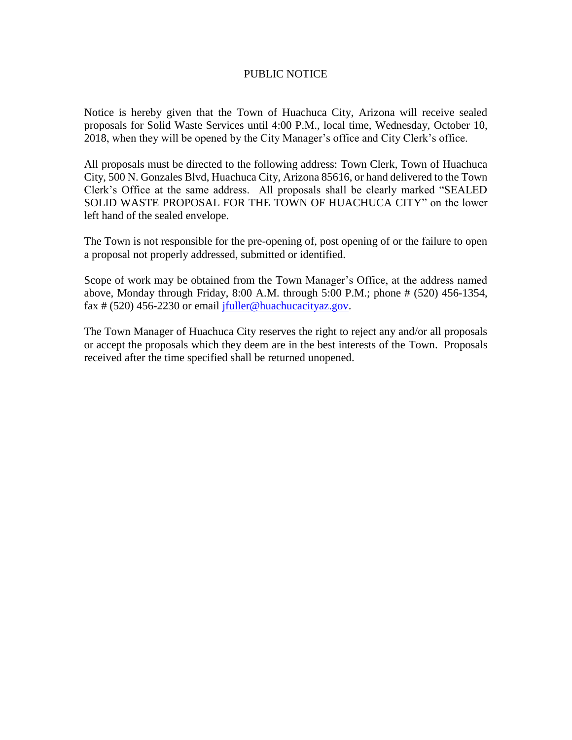#### PUBLIC NOTICE

Notice is hereby given that the Town of Huachuca City, Arizona will receive sealed proposals for Solid Waste Services until 4:00 P.M., local time, Wednesday, October 10, 2018, when they will be opened by the City Manager's office and City Clerk's office.

All proposals must be directed to the following address: Town Clerk, Town of Huachuca City, 500 N. Gonzales Blvd, Huachuca City, Arizona 85616, or hand delivered to the Town Clerk's Office at the same address. All proposals shall be clearly marked "SEALED SOLID WASTE PROPOSAL FOR THE TOWN OF HUACHUCA CITY" on the lower left hand of the sealed envelope.

The Town is not responsible for the pre-opening of, post opening of or the failure to open a proposal not properly addressed, submitted or identified.

Scope of work may be obtained from the Town Manager's Office, at the address named above, Monday through Friday, 8:00 A.M. through 5:00 P.M.; phone # (520) 456-1354, fax # (520) 456-2230 or email [jfuller@huachucacityaz.gov.](mailto:jfuller@huachucacityaz.gov)

The Town Manager of Huachuca City reserves the right to reject any and/or all proposals or accept the proposals which they deem are in the best interests of the Town. Proposals received after the time specified shall be returned unopened.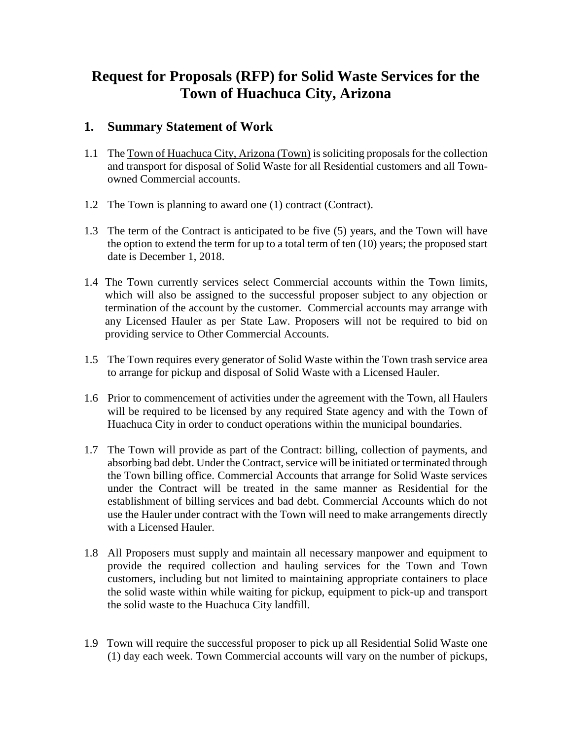## **Request for Proposals (RFP) for Solid Waste Services for the Town of Huachuca City, Arizona**

#### **1. Summary Statement of Work**

- 1.1 The Town of Huachuca City, Arizona (Town) is soliciting proposals for the collection and transport for disposal of Solid Waste for all Residential customers and all Townowned Commercial accounts.
- 1.2 The Town is planning to award one (1) contract (Contract).
- 1.3 The term of the Contract is anticipated to be five (5) years, and the Town will have the option to extend the term for up to a total term of ten (10) years; the proposed start date is December 1, 2018.
- 1.4 The Town currently services select Commercial accounts within the Town limits, which will also be assigned to the successful proposer subject to any objection or termination of the account by the customer. Commercial accounts may arrange with any Licensed Hauler as per State Law. Proposers will not be required to bid on providing service to Other Commercial Accounts.
- 1.5 The Town requires every generator of Solid Waste within the Town trash service area to arrange for pickup and disposal of Solid Waste with a Licensed Hauler.
- 1.6 Prior to commencement of activities under the agreement with the Town, all Haulers will be required to be licensed by any required State agency and with the Town of Huachuca City in order to conduct operations within the municipal boundaries.
- 1.7 The Town will provide as part of the Contract: billing, collection of payments, and absorbing bad debt. Under the Contract, service will be initiated or terminated through the Town billing office. Commercial Accounts that arrange for Solid Waste services under the Contract will be treated in the same manner as Residential for the establishment of billing services and bad debt. Commercial Accounts which do not use the Hauler under contract with the Town will need to make arrangements directly with a Licensed Hauler.
- 1.8 All Proposers must supply and maintain all necessary manpower and equipment to provide the required collection and hauling services for the Town and Town customers, including but not limited to maintaining appropriate containers to place the solid waste within while waiting for pickup, equipment to pick-up and transport the solid waste to the Huachuca City landfill.
- 1.9 Town will require the successful proposer to pick up all Residential Solid Waste one (1) day each week. Town Commercial accounts will vary on the number of pickups,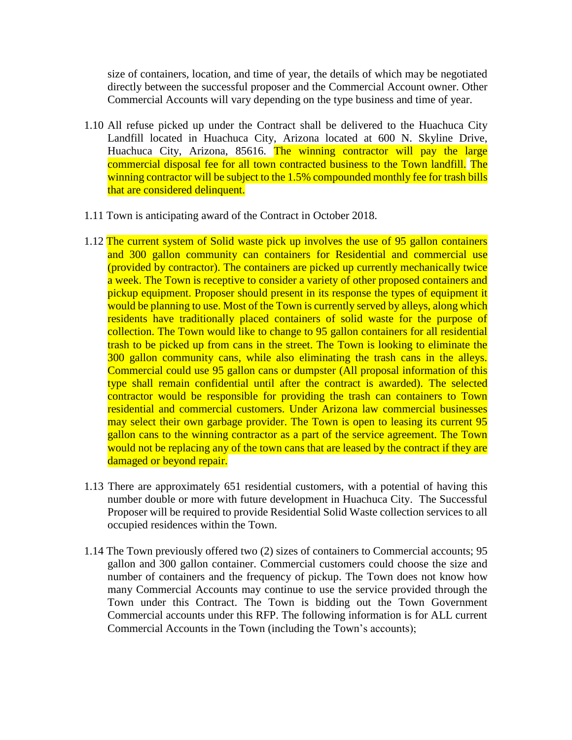size of containers, location, and time of year, the details of which may be negotiated directly between the successful proposer and the Commercial Account owner. Other Commercial Accounts will vary depending on the type business and time of year.

- 1.10 All refuse picked up under the Contract shall be delivered to the Huachuca City Landfill located in Huachuca City, Arizona located at 600 N. Skyline Drive, Huachuca City, Arizona, 85616. The winning contractor will pay the large commercial disposal fee for all town contracted business to the Town landfill. The winning contractor will be subject to the 1.5% compounded monthly fee for trash bills that are considered delinquent.
- 1.11 Town is anticipating award of the Contract in October 2018.
- 1.12 The current system of Solid waste pick up involves the use of 95 gallon containers and 300 gallon community can containers for Residential and commercial use (provided by contractor). The containers are picked up currently mechanically twice a week. The Town is receptive to consider a variety of other proposed containers and pickup equipment. Proposer should present in its response the types of equipment it would be planning to use. Most of the Town is currently served by alleys, along which residents have traditionally placed containers of solid waste for the purpose of collection. The Town would like to change to 95 gallon containers for all residential trash to be picked up from cans in the street. The Town is looking to eliminate the 300 gallon community cans, while also eliminating the trash cans in the alleys. Commercial could use 95 gallon cans or dumpster (All proposal information of this type shall remain confidential until after the contract is awarded). The selected contractor would be responsible for providing the trash can containers to Town residential and commercial customers. Under Arizona law commercial businesses may select their own garbage provider. The Town is open to leasing its current 95 gallon cans to the winning contractor as a part of the service agreement. The Town would not be replacing any of the town cans that are leased by the contract if they are damaged or beyond repair.
- 1.13 There are approximately 651 residential customers, with a potential of having this number double or more with future development in Huachuca City. The Successful Proposer will be required to provide Residential Solid Waste collection services to all occupied residences within the Town.
- 1.14 The Town previously offered two (2) sizes of containers to Commercial accounts; 95 gallon and 300 gallon container. Commercial customers could choose the size and number of containers and the frequency of pickup. The Town does not know how many Commercial Accounts may continue to use the service provided through the Town under this Contract. The Town is bidding out the Town Government Commercial accounts under this RFP. The following information is for ALL current Commercial Accounts in the Town (including the Town's accounts);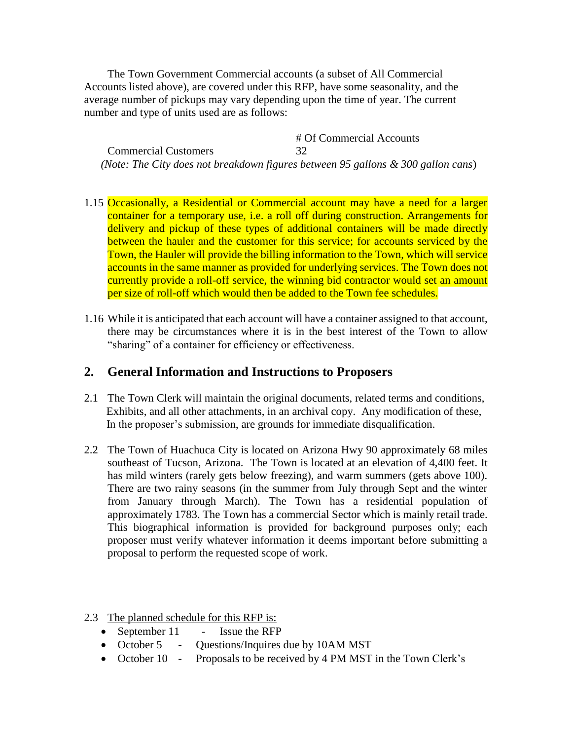The Town Government Commercial accounts (a subset of All Commercial Accounts listed above), are covered under this RFP, have some seasonality, and the average number of pickups may vary depending upon the time of year. The current number and type of units used are as follows:

# Of Commercial Accounts Commercial Customers 32 *(Note: The City does not breakdown figures between 95 gallons & 300 gallon cans*)

- 1.15 Occasionally, a Residential or Commercial account may have a need for a larger container for a temporary use, i.e. a roll off during construction. Arrangements for delivery and pickup of these types of additional containers will be made directly between the hauler and the customer for this service; for accounts serviced by the Town, the Hauler will provide the billing information to the Town, which will service accounts in the same manner as provided for underlying services. The Town does not currently provide a roll-off service, the winning bid contractor would set an amount per size of roll-off which would then be added to the Town fee schedules.
- 1.16 While it is anticipated that each account will have a container assigned to that account, there may be circumstances where it is in the best interest of the Town to allow "sharing" of a container for efficiency or effectiveness.

#### **2. General Information and Instructions to Proposers**

- 2.1 The Town Clerk will maintain the original documents, related terms and conditions, Exhibits, and all other attachments, in an archival copy. Any modification of these, In the proposer's submission, are grounds for immediate disqualification.
- 2.2 The Town of Huachuca City is located on Arizona Hwy 90 approximately 68 miles southeast of Tucson, Arizona. The Town is located at an elevation of 4,400 feet. It has mild winters (rarely gets below freezing), and warm summers (gets above 100). There are two rainy seasons (in the summer from July through Sept and the winter from January through March). The Town has a residential population of approximately 1783. The Town has a commercial Sector which is mainly retail trade. This biographical information is provided for background purposes only; each proposer must verify whatever information it deems important before submitting a proposal to perform the requested scope of work.
- 2.3 The planned schedule for this RFP is:
	- September 11 Issue the RFP
	- October 5 Questions/Inquires due by 10AM MST
	- October 10 Proposals to be received by 4 PM MST in the Town Clerk's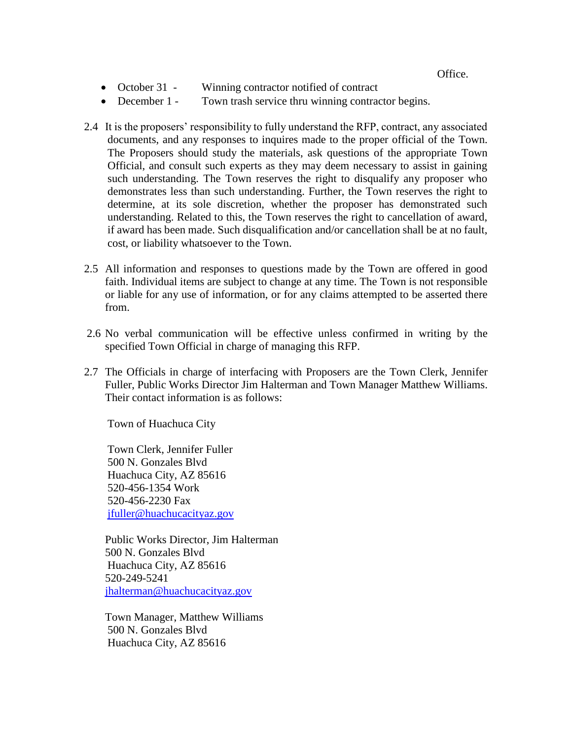- October 31 Winning contractor notified of contract
- December 1 Town trash service thru winning contractor begins.
- 2.4 It is the proposers' responsibility to fully understand the RFP, contract, any associated documents, and any responses to inquires made to the proper official of the Town. The Proposers should study the materials, ask questions of the appropriate Town Official, and consult such experts as they may deem necessary to assist in gaining such understanding. The Town reserves the right to disqualify any proposer who demonstrates less than such understanding. Further, the Town reserves the right to determine, at its sole discretion, whether the proposer has demonstrated such understanding. Related to this, the Town reserves the right to cancellation of award, if award has been made. Such disqualification and/or cancellation shall be at no fault, cost, or liability whatsoever to the Town.
- 2.5 All information and responses to questions made by the Town are offered in good faith. Individual items are subject to change at any time. The Town is not responsible or liable for any use of information, or for any claims attempted to be asserted there from.
- 2.6 No verbal communication will be effective unless confirmed in writing by the specified Town Official in charge of managing this RFP.
- 2.7 The Officials in charge of interfacing with Proposers are the Town Clerk, Jennifer Fuller, Public Works Director Jim Halterman and Town Manager Matthew Williams. Their contact information is as follows:

Town of Huachuca City

Town Clerk, Jennifer Fuller 500 N. Gonzales Blvd Huachuca City, AZ 85616 520-456-1354 Work 520-456-2230 Fax [jfuller@huachucacityaz.gov](mailto:jfuller@huachucacityaz.gov) 

Public Works Director, Jim Halterman 500 N. Gonzales Blvd Huachuca City, AZ 85616 520-249-5241 [jhalterman@huachucacityaz.gov](mailto:jhalterman@huachucacityaz.gov) 

Town Manager, Matthew Williams 500 N. Gonzales Blvd Huachuca City, AZ 85616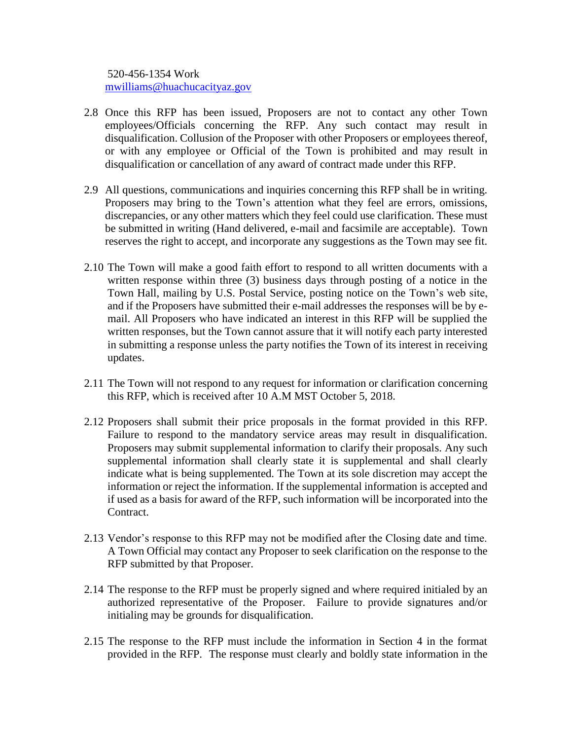520-456-1354 Work [mwilliams@huachucacityaz.gov](mailto:mwilliams@huachucacityaz.gov) 

- 2.8 Once this RFP has been issued, Proposers are not to contact any other Town employees/Officials concerning the RFP. Any such contact may result in disqualification. Collusion of the Proposer with other Proposers or employees thereof, or with any employee or Official of the Town is prohibited and may result in disqualification or cancellation of any award of contract made under this RFP.
- 2.9 All questions, communications and inquiries concerning this RFP shall be in writing. Proposers may bring to the Town's attention what they feel are errors, omissions, discrepancies, or any other matters which they feel could use clarification. These must be submitted in writing (Hand delivered, e-mail and facsimile are acceptable). Town reserves the right to accept, and incorporate any suggestions as the Town may see fit.
- 2.10 The Town will make a good faith effort to respond to all written documents with a written response within three (3) business days through posting of a notice in the Town Hall, mailing by U.S. Postal Service, posting notice on the Town's web site, and if the Proposers have submitted their e-mail addresses the responses will be by email. All Proposers who have indicated an interest in this RFP will be supplied the written responses, but the Town cannot assure that it will notify each party interested in submitting a response unless the party notifies the Town of its interest in receiving updates.
- 2.11 The Town will not respond to any request for information or clarification concerning this RFP, which is received after 10 A.M MST October 5, 2018.
- 2.12 Proposers shall submit their price proposals in the format provided in this RFP. Failure to respond to the mandatory service areas may result in disqualification. Proposers may submit supplemental information to clarify their proposals. Any such supplemental information shall clearly state it is supplemental and shall clearly indicate what is being supplemented. The Town at its sole discretion may accept the information or reject the information. If the supplemental information is accepted and if used as a basis for award of the RFP, such information will be incorporated into the Contract.
- 2.13 Vendor's response to this RFP may not be modified after the Closing date and time. A Town Official may contact any Proposer to seek clarification on the response to the RFP submitted by that Proposer.
- 2.14 The response to the RFP must be properly signed and where required initialed by an authorized representative of the Proposer. Failure to provide signatures and/or initialing may be grounds for disqualification.
- 2.15 The response to the RFP must include the information in Section 4 in the format provided in the RFP. The response must clearly and boldly state information in the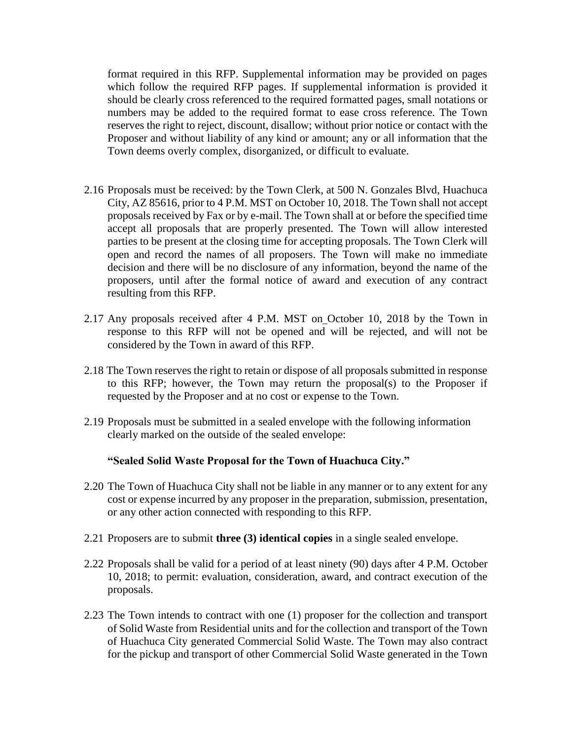format required in this RFP. Supplemental information may be provided on pages which follow the required RFP pages. If supplemental information is provided it should be clearly cross referenced to the required formatted pages, small notations or numbers may be added to the required format to ease cross reference. The Town reserves the right to reject, discount, disallow; without prior notice or contact with the Proposer and without liability of any kind or amount; any or all information that the Town deems overly complex, disorganized, or difficult to evaluate.

- 2.16 Proposals must be received: by the Town Clerk, at 500 N. Gonzales Blvd, Huachuca City, AZ 85616, prior to 4 P.M. MST on October 10, 2018. The Town shall not accept proposals received by Fax or by e-mail. The Town shall at or before the specified time accept all proposals that are properly presented. The Town will allow interested parties to be present at the closing time for accepting proposals. The Town Clerk will open and record the names of all proposers. The Town will make no immediate decision and there will be no disclosure of any information, beyond the name of the proposers, until after the formal notice of award and execution of any contract resulting from this RFP.
- 2.17 Any proposals received after 4 P.M. MST on October 10, 2018 by the Town in response to this RFP will not be opened and will be rejected, and will not be considered by the Town in award of this RFP.
- 2.18 The Town reserves the right to retain or dispose of all proposals submitted in response to this RFP; however, the Town may return the proposal(s) to the Proposer if requested by the Proposer and at no cost or expense to the Town.
- 2.19 Proposals must be submitted in a sealed envelope with the following information clearly marked on the outside of the sealed envelope:

#### **"Sealed Solid Waste Proposal for the Town of Huachuca City."**

- 2.20 The Town of Huachuca City shall not be liable in any manner or to any extent for any cost or expense incurred by any proposer in the preparation, submission, presentation, or any other action connected with responding to this RFP.
- 2.21 Proposers are to submit **three (3) identical copies** in a single sealed envelope.
- 2.22 Proposals shall be valid for a period of at least ninety (90) days after 4 P.M. October 10, 2018; to permit: evaluation, consideration, award, and contract execution of the proposals.
- 2.23 The Town intends to contract with one (1) proposer for the collection and transport of Solid Waste from Residential units and for the collection and transport of the Town of Huachuca City generated Commercial Solid Waste. The Town may also contract for the pickup and transport of other Commercial Solid Waste generated in the Town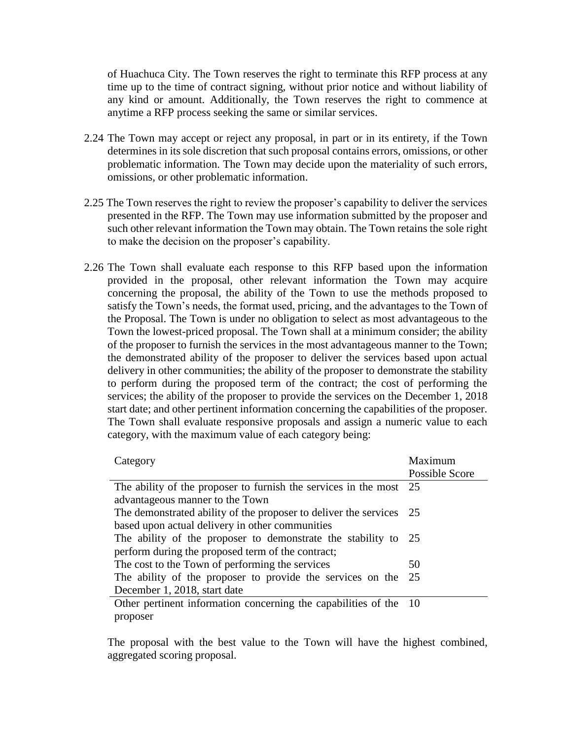of Huachuca City. The Town reserves the right to terminate this RFP process at any time up to the time of contract signing, without prior notice and without liability of any kind or amount. Additionally, the Town reserves the right to commence at anytime a RFP process seeking the same or similar services.

- 2.24 The Town may accept or reject any proposal, in part or in its entirety, if the Town determines in its sole discretion that such proposal contains errors, omissions, or other problematic information. The Town may decide upon the materiality of such errors, omissions, or other problematic information.
- 2.25 The Town reserves the right to review the proposer's capability to deliver the services presented in the RFP. The Town may use information submitted by the proposer and such other relevant information the Town may obtain. The Town retains the sole right to make the decision on the proposer's capability.
- 2.26 The Town shall evaluate each response to this RFP based upon the information provided in the proposal, other relevant information the Town may acquire concerning the proposal, the ability of the Town to use the methods proposed to satisfy the Town's needs, the format used, pricing, and the advantages to the Town of the Proposal. The Town is under no obligation to select as most advantageous to the Town the lowest-priced proposal. The Town shall at a minimum consider; the ability of the proposer to furnish the services in the most advantageous manner to the Town; the demonstrated ability of the proposer to deliver the services based upon actual delivery in other communities; the ability of the proposer to demonstrate the stability to perform during the proposed term of the contract; the cost of performing the services; the ability of the proposer to provide the services on the December 1, 2018 start date; and other pertinent information concerning the capabilities of the proposer. The Town shall evaluate responsive proposals and assign a numeric value to each category, with the maximum value of each category being:

| Category                                                            | Maximum        |
|---------------------------------------------------------------------|----------------|
|                                                                     | Possible Score |
| The ability of the proposer to furnish the services in the most 25  |                |
| advantageous manner to the Town                                     |                |
| The demonstrated ability of the proposer to deliver the services 25 |                |
| based upon actual delivery in other communities                     |                |
| The ability of the proposer to demonstrate the stability to 25      |                |
| perform during the proposed term of the contract;                   |                |
| The cost to the Town of performing the services                     | 50             |
| The ability of the proposer to provide the services on the          | - 25           |
| December 1, 2018, start date                                        |                |
| Other pertinent information concerning the capabilities of the 10   |                |
| proposer                                                            |                |

The proposal with the best value to the Town will have the highest combined, aggregated scoring proposal.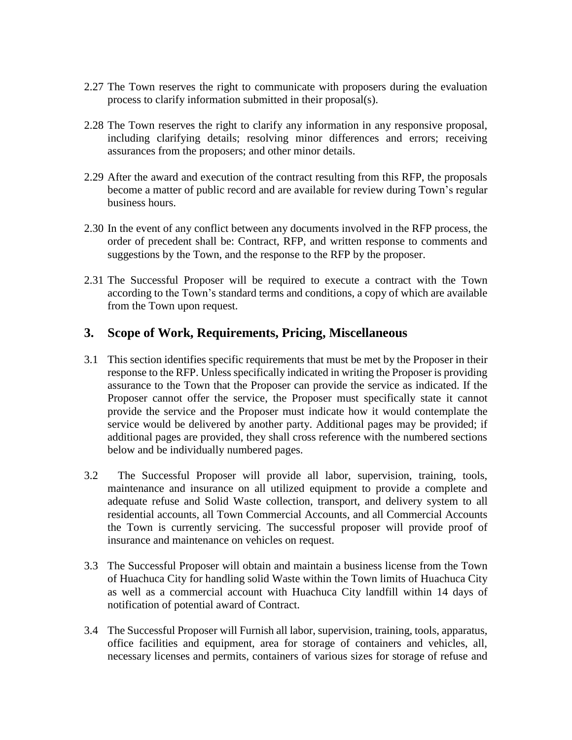- 2.27 The Town reserves the right to communicate with proposers during the evaluation process to clarify information submitted in their proposal(s).
- 2.28 The Town reserves the right to clarify any information in any responsive proposal, including clarifying details; resolving minor differences and errors; receiving assurances from the proposers; and other minor details.
- 2.29 After the award and execution of the contract resulting from this RFP, the proposals become a matter of public record and are available for review during Town's regular business hours.
- 2.30 In the event of any conflict between any documents involved in the RFP process, the order of precedent shall be: Contract, RFP, and written response to comments and suggestions by the Town, and the response to the RFP by the proposer.
- 2.31 The Successful Proposer will be required to execute a contract with the Town according to the Town's standard terms and conditions, a copy of which are available from the Town upon request.

### **3. Scope of Work, Requirements, Pricing, Miscellaneous**

- 3.1 This section identifies specific requirements that must be met by the Proposer in their response to the RFP. Unless specifically indicated in writing the Proposer is providing assurance to the Town that the Proposer can provide the service as indicated. If the Proposer cannot offer the service, the Proposer must specifically state it cannot provide the service and the Proposer must indicate how it would contemplate the service would be delivered by another party. Additional pages may be provided; if additional pages are provided, they shall cross reference with the numbered sections below and be individually numbered pages.
- 3.2 The Successful Proposer will provide all labor, supervision, training, tools, maintenance and insurance on all utilized equipment to provide a complete and adequate refuse and Solid Waste collection, transport, and delivery system to all residential accounts, all Town Commercial Accounts, and all Commercial Accounts the Town is currently servicing. The successful proposer will provide proof of insurance and maintenance on vehicles on request.
- 3.3 The Successful Proposer will obtain and maintain a business license from the Town of Huachuca City for handling solid Waste within the Town limits of Huachuca City as well as a commercial account with Huachuca City landfill within 14 days of notification of potential award of Contract.
- 3.4 The Successful Proposer will Furnish all labor, supervision, training, tools, apparatus, office facilities and equipment, area for storage of containers and vehicles, all, necessary licenses and permits, containers of various sizes for storage of refuse and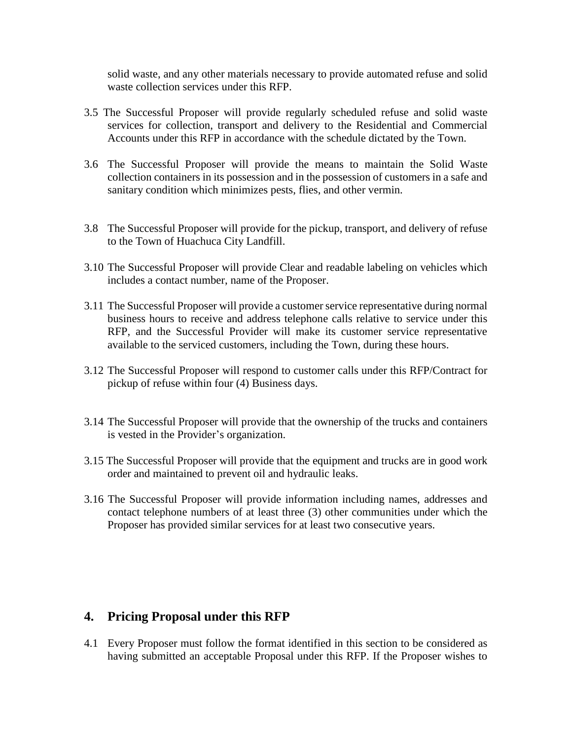solid waste, and any other materials necessary to provide automated refuse and solid waste collection services under this RFP.

- 3.5 The Successful Proposer will provide regularly scheduled refuse and solid waste services for collection, transport and delivery to the Residential and Commercial Accounts under this RFP in accordance with the schedule dictated by the Town.
- 3.6 The Successful Proposer will provide the means to maintain the Solid Waste collection containers in its possession and in the possession of customers in a safe and sanitary condition which minimizes pests, flies, and other vermin.
- 3.8 The Successful Proposer will provide for the pickup, transport, and delivery of refuse to the Town of Huachuca City Landfill.
- 3.10 The Successful Proposer will provide Clear and readable labeling on vehicles which includes a contact number, name of the Proposer.
- 3.11 The Successful Proposer will provide a customer service representative during normal business hours to receive and address telephone calls relative to service under this RFP, and the Successful Provider will make its customer service representative available to the serviced customers, including the Town, during these hours.
- 3.12 The Successful Proposer will respond to customer calls under this RFP/Contract for pickup of refuse within four (4) Business days.
- 3.14 The Successful Proposer will provide that the ownership of the trucks and containers is vested in the Provider's organization.
- 3.15 The Successful Proposer will provide that the equipment and trucks are in good work order and maintained to prevent oil and hydraulic leaks.
- 3.16 The Successful Proposer will provide information including names, addresses and contact telephone numbers of at least three (3) other communities under which the Proposer has provided similar services for at least two consecutive years.

## **4. Pricing Proposal under this RFP**

4.1 Every Proposer must follow the format identified in this section to be considered as having submitted an acceptable Proposal under this RFP. If the Proposer wishes to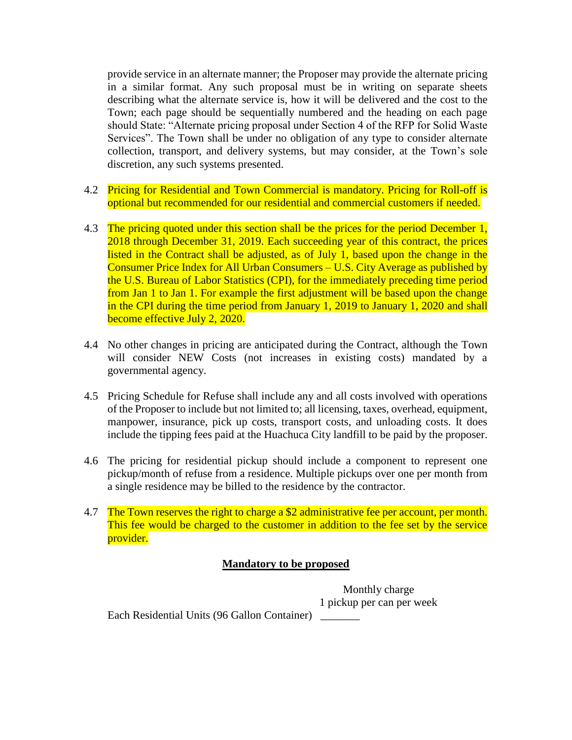provide service in an alternate manner; the Proposer may provide the alternate pricing in a similar format. Any such proposal must be in writing on separate sheets describing what the alternate service is, how it will be delivered and the cost to the Town; each page should be sequentially numbered and the heading on each page should State: "Alternate pricing proposal under Section 4 of the RFP for Solid Waste Services". The Town shall be under no obligation of any type to consider alternate collection, transport, and delivery systems, but may consider, at the Town's sole discretion, any such systems presented.

- 4.2 Pricing for Residential and Town Commercial is mandatory. Pricing for Roll-off is optional but recommended for our residential and commercial customers if needed.
- 4.3 The pricing quoted under this section shall be the prices for the period December 1, 2018 through December 31, 2019. Each succeeding year of this contract, the prices listed in the Contract shall be adjusted, as of July 1, based upon the change in the Consumer Price Index for All Urban Consumers – U.S. City Average as published by the U.S. Bureau of Labor Statistics (CPI), for the immediately preceding time period from Jan 1 to Jan 1. For example the first adjustment will be based upon the change in the CPI during the time period from January 1, 2019 to January 1, 2020 and shall become effective July 2, 2020.
- 4.4 No other changes in pricing are anticipated during the Contract, although the Town will consider NEW Costs (not increases in existing costs) mandated by a governmental agency.
- 4.5 Pricing Schedule for Refuse shall include any and all costs involved with operations of the Proposer to include but not limited to; all licensing, taxes, overhead, equipment, manpower, insurance, pick up costs, transport costs, and unloading costs. It does include the tipping fees paid at the Huachuca City landfill to be paid by the proposer.
- 4.6 The pricing for residential pickup should include a component to represent one pickup/month of refuse from a residence. Multiple pickups over one per month from a single residence may be billed to the residence by the contractor.
- 4.7 The Town reserves the right to charge a \$2 administrative fee per account, per month. This fee would be charged to the customer in addition to the fee set by the service provider.

#### **Mandatory to be proposed**

Monthly charge 1 pickup per can per week

Each Residential Units (96 Gallon Container) \_\_\_\_\_\_\_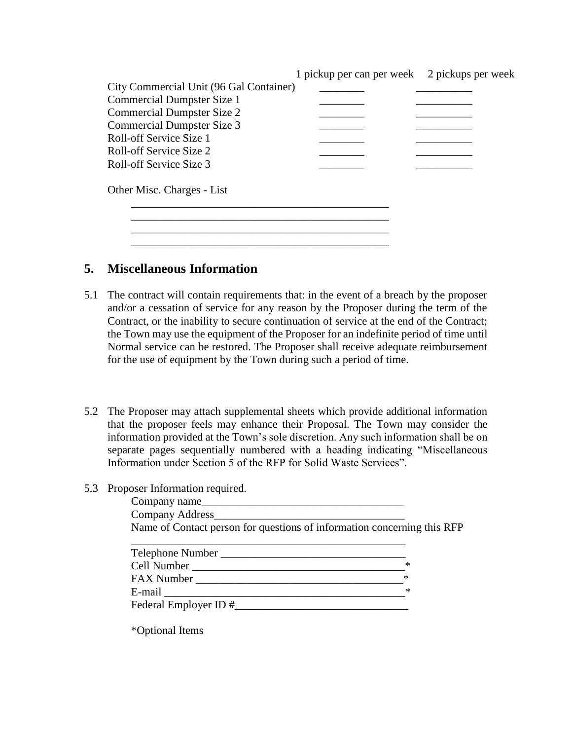|                                         | 1 pickup per can per week 2 pickups per week |  |
|-----------------------------------------|----------------------------------------------|--|
| City Commercial Unit (96 Gal Container) |                                              |  |
| <b>Commercial Dumpster Size 1</b>       |                                              |  |
| <b>Commercial Dumpster Size 2</b>       |                                              |  |
| Commercial Dumpster Size 3              |                                              |  |
| Roll-off Service Size 1                 |                                              |  |
| Roll-off Service Size 2                 |                                              |  |
| Roll-off Service Size 3                 |                                              |  |
| Other Misc. Charges - List              |                                              |  |
|                                         |                                              |  |
|                                         |                                              |  |
|                                         |                                              |  |

#### **5. Miscellaneous Information**

- 5.1 The contract will contain requirements that: in the event of a breach by the proposer and/or a cessation of service for any reason by the Proposer during the term of the Contract, or the inability to secure continuation of service at the end of the Contract; the Town may use the equipment of the Proposer for an indefinite period of time until Normal service can be restored. The Proposer shall receive adequate reimbursement for the use of equipment by the Town during such a period of time.
- 5.2 The Proposer may attach supplemental sheets which provide additional information that the proposer feels may enhance their Proposal. The Town may consider the information provided at the Town's sole discretion. Any such information shall be on separate pages sequentially numbered with a heading indicating "Miscellaneous Information under Section 5 of the RFP for Solid Waste Services".
- 5.3 Proposer Information required.

| Company name                                                                                                                                                                                                                   |        |
|--------------------------------------------------------------------------------------------------------------------------------------------------------------------------------------------------------------------------------|--------|
|                                                                                                                                                                                                                                |        |
| Name of Contact person for questions of information concerning this RFP                                                                                                                                                        |        |
|                                                                                                                                                                                                                                |        |
|                                                                                                                                                                                                                                |        |
| Cell Number New York Collection and Collection and Collection and Collection and Collection and Collection and Collection and Collection and Collection and Collection and Collection and Collection and Collection and Collec | ∗      |
| FAX Number                                                                                                                                                                                                                     | $*$    |
| E-mail <u>example</u>                                                                                                                                                                                                          | $\ast$ |
| Federal Employer ID #                                                                                                                                                                                                          |        |
|                                                                                                                                                                                                                                |        |

\*Optional Items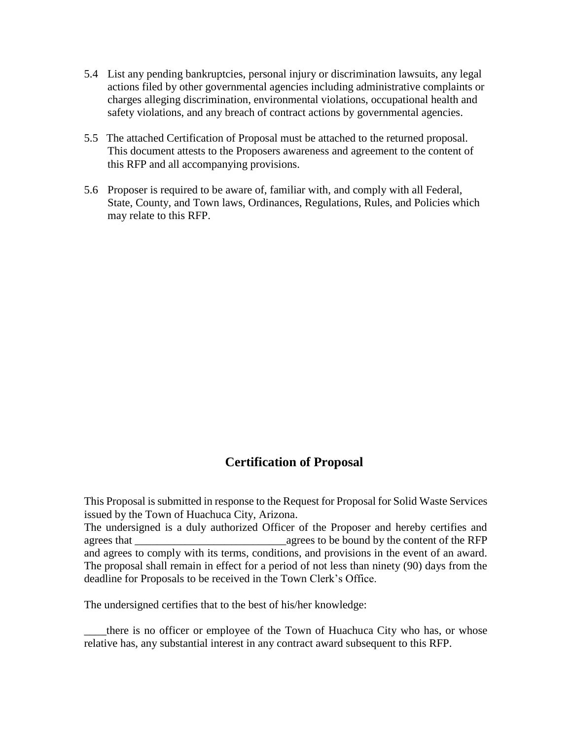- 5.4 List any pending bankruptcies, personal injury or discrimination lawsuits, any legal actions filed by other governmental agencies including administrative complaints or charges alleging discrimination, environmental violations, occupational health and safety violations, and any breach of contract actions by governmental agencies.
- 5.5 The attached Certification of Proposal must be attached to the returned proposal. This document attests to the Proposers awareness and agreement to the content of this RFP and all accompanying provisions.
- 5.6 Proposer is required to be aware of, familiar with, and comply with all Federal, State, County, and Town laws, Ordinances, Regulations, Rules, and Policies which may relate to this RFP.

## **Certification of Proposal**

This Proposal is submitted in response to the Request for Proposal for Solid Waste Services issued by the Town of Huachuca City, Arizona.

The undersigned is a duly authorized Officer of the Proposer and hereby certifies and agrees that agrees to be bound by the content of the RFP and agrees to comply with its terms, conditions, and provisions in the event of an award. The proposal shall remain in effect for a period of not less than ninety (90) days from the deadline for Proposals to be received in the Town Clerk's Office.

The undersigned certifies that to the best of his/her knowledge:

there is no officer or employee of the Town of Huachuca City who has, or whose relative has, any substantial interest in any contract award subsequent to this RFP.